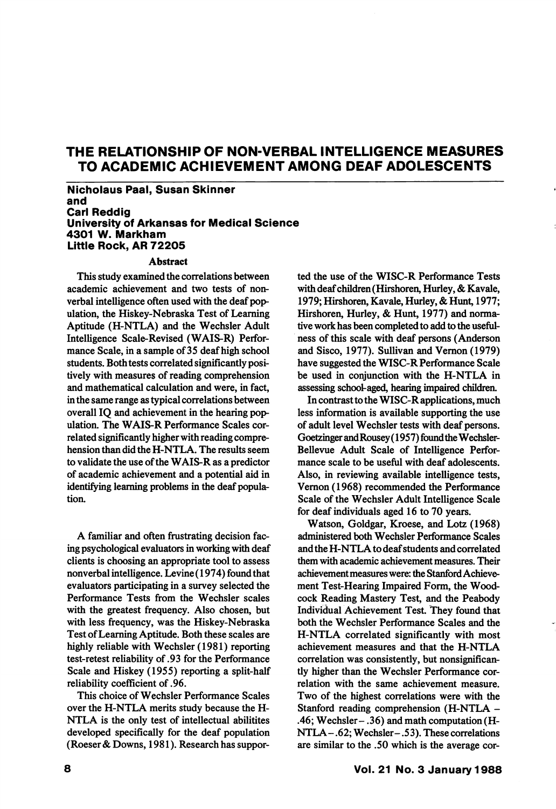# THE RELATIONSHIP OF NON-VERBAL INTELLIGENCE MEASURES TO ACADEMIC ACHIEVEMENT AMONG DEAF ADOLESCENTS

Nicholaus Paal, Susan Skinner and Carl Reddig University of Arkansas for Medical Science 4301 W. Markham Littie Rock, AR 72205

#### Abstract

This study examined the correlations between academic achievement and two tests of nonverbal intelligence often used with the deaf pop ulation, the Hiskey-Nebraska Test of Learning Aptitude (H-NTLA) and the Wechsler Adult Intelligence Scale-Revised (WAIS-R) Perfor mance Scale, in a sample of 35 deaf high school students. Both tests correlated significantly posi tively with measures of reading comprehension and mathematical calculation and were, in fact, in the same range as typical correlations between overall IQ and achievement in the hearing pop ulation. The WAIS-R Performance Scales cor related significantly higher with reading compre hension than did the H-NTLA. The results seem to validate the use of the WAIS-R as a predictor of academic achievement and a potential aid in identifying learning problems in the deaf popula tion.

A familiar and often frustrating decision fac ing psychological evaluators in working with deaf clients is choosing an appropriate tool to assess nonverbal intelligence. Levine (1974) found that evaluators participating in a survey selected the Performance Tests from the Wechsler scales with the greatest frequency. Also chosen, but with less frequency, was the Hiskey-Nebraska Test of Learning Aptitude. Both these scales are highly reliable with Wechsler (1981) reporting test-retest reliability of .93 for the Performance Scale and Hiskey (1955) reporting a split-half reliability coefficient of .96.

This choice of Wechsler Performance Scales over the H-NTLA merits study because the H-NTLA is the only test of intellectual abilitites developed specifically for the deaf population (Roeser & Downs, 1981). Research has suppor ted the use of the WISC-R Performance Tests with deaf children (Hirshoren, Hurley, & Kavale, 1979; Hirshoren, Kavale, Hurley, & Hunt, 1977; Hirshoren, Hurley, & Hunt, 1977) and norma tive work has been completed to add to the useful ness of this scale with deaf persons (Anderson and Sisco, 1977). Sullivan and Vemon (1979) have suggested the WlSC-R Performance Scale be used in conjunction with the H-NTLA in assessing school-aged, hearing impaired childrea

In contrast to the WISC-R applications, much less information is available supporting the use of adult level Wechsler tests with deaf persons. Goetzinger andRousey (1957) found the Wechsler-Bellevue Adult Scale of Intelligence Perfor mance scale to be useful with deaf adolescents. Also, in reviewing available intelligence tests, Vemon (1968) recommended the Performance Scale of the Wechsler Adult Intelligence Scale for deaf individuals aged 16 to 70 years.

Watson, Goldgar, Kroese, and Lotz (1968) administered both Wechsler Performance Scales and the H-NTLA to deaf students and correlated them with academic achievement measures. Their achievement measures were: the Stanford Achieve ment Test-Hearing Impaired Form, the Wood cock Reading Mastery Test, and the Peabody Individual Achievement Test. They found that both the Wechsler Performance Scales and the H-NTLA correlated significantly with most achievement measures and that the H-NTLA correlation was consistently, but nonsignificantly higher than the Wechsler Performance cor relation with the same achievement measure. Two of the highest correlations were with the Stanford reading comprehension (H-NTLA - .46; Wechsler- .36) and math computation (H-NTLA- .62; Wechsler- .5 3). These correlations are similar to the .50 which is the average cor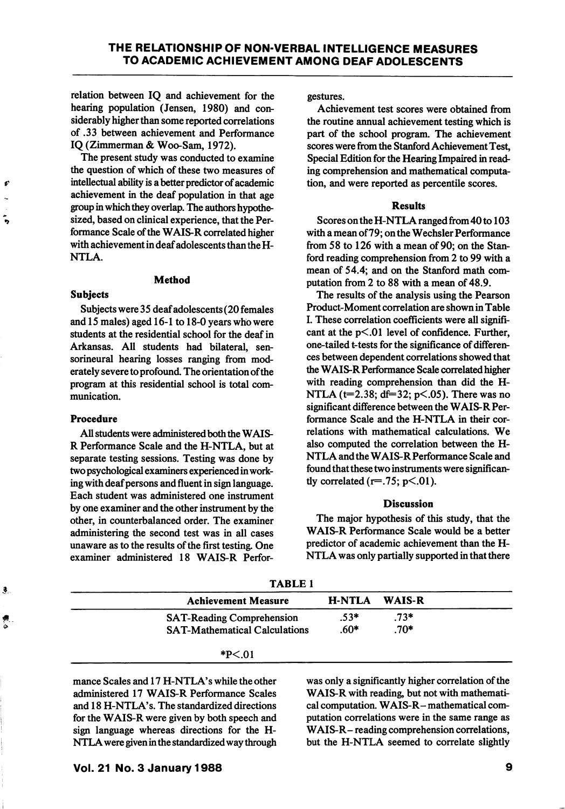relation between IQ and achievement for the hearing population (Jensen, 1980) and con siderably higher than some reported correlations of .33 between achievement and Performance IQ (Zimmerman & Woo-Sam, 1972).

The present study was conducted to examine the question of which of these two measures of intellectual ability is a better predictor of academic achievement in the deaf population in that age group in which they overlap. The authors hypothe sized, based on clinical experience, that the Per formance Scale of the WAIS-R correlated higher with achievement in deaf adolescents than the H-NTLA.

#### Method

#### Subjects

 $\boldsymbol{t}$ 

÷,

Subjects were 35 deaf adolescents (20 females and 15 males) aged 16-1 to 18-0 years who were students at the residential school for the deaf in Arkansas. All students had bilateral, sensorineural hearing losses ranging from mod erately severe to profound. The orientation of the program at this residential school is total com munication.

# Procedure

All students were administered both the WAIS-R Performance Scale and the H-NTLA, but at separate testing sessions. Testing was done by two psychological examiners experienced in work ing with deaf persons and fluent in sign language. Each student was administered one instrument by one examiner and the other instrument by the other, in counterbalanced order. The examiner administering the second test was in all cases unaware as to the results of the first testing. One examiner administered 18 WAIS-R Perforgestures.

Achievement test scores were obtained from the routine annual achievement testing which is part of the school program. The achievement scores were from the Stanford Achievement Test, Special Edition for the Hearing Impaired in read ing comprehension and mathematical computa tion, and were reported as percentile scores.

### **Results**

Scores on the H-NTLA ranged from 40 to 103 with a mean of 79; on the Wechsler Performance from 58 to 126 with a mean of 90; on the Stan ford reading comprehension from 2 to 99 with a mean of 54.4; and on the Stanford math com putation from 2 to 88 with a mean of 48.9.

The results of the analysis using the Pearson Product-Moment correlation are shown in Table I. These correlation coefficients were all signifi cant at the  $p<01$  level of confidence. Further, one-tailed t-tests for the significance of differen ces between dependent correlations showed that the WAIS-R Performance Scale correlated higher with reading comprehension than did the H-NTLA ( $t=2.38$ ; df=32; p<.05). There was no significant difference between the WAIS-R Per formance Scale and the H-NTLA in their cor relations with mathematical calculations. We also computed the correlation between the H-NTLA and the WAIS-R Performance Scale and found that these two instruments were significan tly correlated ( $r=.75$ ;  $p<.01$ ).

## Discussion

The major hypothesis of this study, that the WAIS-R Performance Scale would be a better predictor of academic achievement than the H-NTLA was only partially supported in that there

| Ĵ., | TABLE I                              |        |        |  |
|-----|--------------------------------------|--------|--------|--|
|     | <b>Achievement Measure</b>           | H-NTLA | WAIS-R |  |
| 剰   | <b>SAT-Reading Comprehension</b>     | $.53*$ | $.73*$ |  |
| ۵   | <b>SAT-Mathematical Calculations</b> | $.60*$ | $.70*$ |  |
|     | $*P<.01$                             |        |        |  |

TABLE 1

mance Scales and 17 H-NTLA's while the other administered 17 WAIS-R Performance Scales and 18 H-NTLA's. The standardized directions for the WAIS-R were given by both speech and sign language whereas directions for the H-NTLA were given in the standardized way through was only a significantly higher correlation of the WAIS-R with reading, but not with mathemati cal computation. WAIS-R- mathematical com putation correlations were in the same range as WAIS-R- reading comprehension correlations, but the H-NTLA seemed to correlate slightly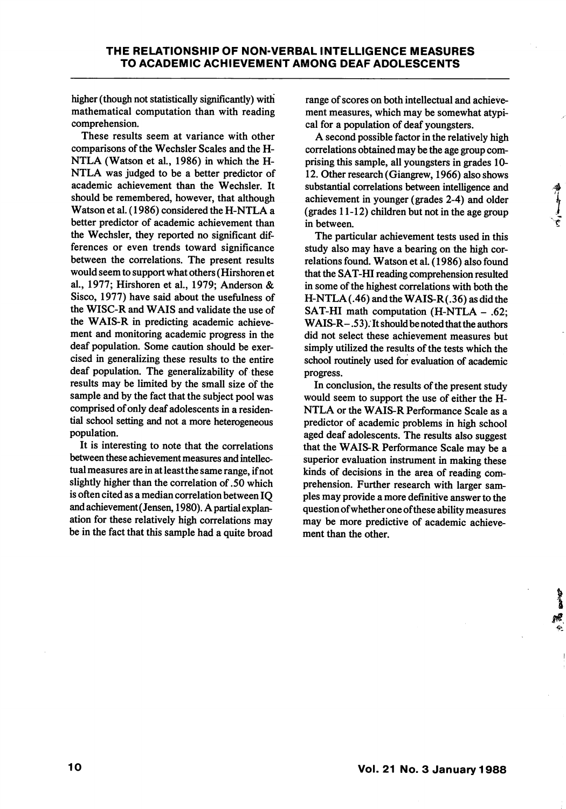higher (though not statistically significantly) with mathematical computation than with reading comprehension.

These results seem at variance with other comparisons of the Wechsler Scales and the H-NTLA (Watson et al, 1986) in which the H-NTLA was judged to be a better predictor of academic achievement than the Wechsler. It should be remembered, however, that although Watson et al. (1986) considered the H-NTLA a better predictor of academic achievement than the Wechsler, they reported no significant dif ferences or even trends toward significance between the correlations. The present results would seem to support what others (Hirshoren et al., 1977; Hirshoren et al., 1979; Anderson & Sisco, 1977) have said about the usefulness of the WISC-R and WAIS and validate the use of the WAIS-R in predicting academic achieve ment and monitoring academic progress in the deaf population. Some caution should be exer cised in generalizing these results to the entire deaf population. The generalizability of these results may be limited by the small size of the sample and by the fact that the subject pool was comprised of only deaf adolescents in a residen tial school setting and not a more heterogeneous population.

It is interesting to note that the correlations between these achievement measures and intellec tual measures are in at least the same range, if not slightly higher than the correlation of .50 which is often cited as a median correlation between IQ and achievement (Jensen, 1980). A partial explan ation for these relatively high correlations may be in the fact that this sample had a quite broad

range of scores on both intellectual and achieve ment measures, which may be somewhat atypi cal for a population of deaf youngsters.

A second possible factor in the relatively high correlations obtained may be the age group com prising this sample, all youngsters in grades 10- 12. Other research (Giangrew, 1966) also shows substantial correlations between intelligence and achievement in younger (grades 2-4) and older (grades 11-12) children but not in the age group in between.

The particular achievement tests used in this study also may have a bearing on the high cor relations found. Watson et al. (1986) also found that the SAT-HI reading comprehension resulted in some of the highest correlations with both the  $H-NTLA(.46)$  and the WAIS-R $(.36)$  as did the SAT-HI math computation (H-NTLA - .62; WAIS-R- .53). It should be noted that the authors did not select these achievement measures but simply utilized the results of the tests which the school routinely used for evaluation of academic progress.

In conclusion, the results of the present study would seem to support the use of either the H-NTLA or the WAIS-R Performance Scale as a predictor of academic problems in high school aged deaf adolescents. The results also suggest that the WAIS-R Performance Scale may be a superior evaluation instrument in making these kinds of decisions in the area of reading com prehension. Further research with larger sam ples may provide a more definitive answer to the question ofwhether one ofthese ability measures may be more predictive of academic achieve ment than the other.